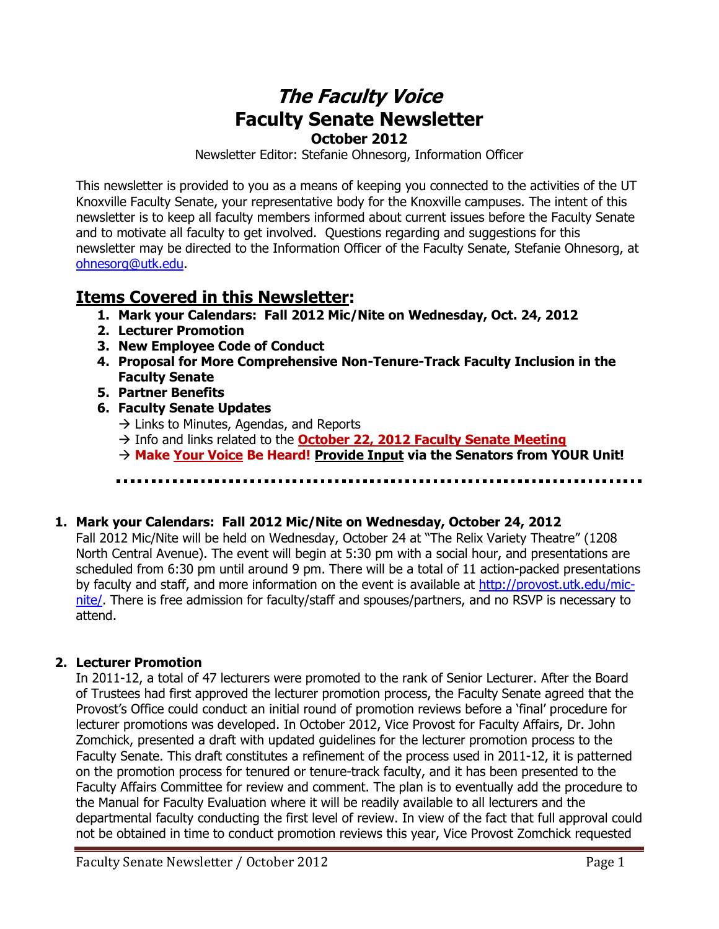# **The Faculty Voice Faculty Senate Newsletter October 2012**

Newsletter Editor: Stefanie Ohnesorg, Information Officer

This newsletter is provided to you as a means of keeping you connected to the activities of the UT Knoxville Faculty Senate, your representative body for the Knoxville campuses. The intent of this newsletter is to keep all faculty members informed about current issues before the Faculty Senate and to motivate all faculty to get involved. Questions regarding and suggestions for this newsletter may be directed to the Information Officer of the Faculty Senate, Stefanie Ohnesorg, at [ohnesorg@utk.edu.](mailto:ohnesorg@utk.edu)

# **Items Covered in this Newsletter:**

- **1. Mark your Calendars: Fall 2012 Mic/Nite on Wednesday, Oct. 24, 2012**
- **2. Lecturer Promotion**
- **3. New Employee Code of Conduct**
- **4. Proposal for More Comprehensive Non-Tenure-Track Faculty Inclusion in the Faculty Senate**
- **5. Partner Benefits**
- **6. Faculty Senate Updates** 
	- $\rightarrow$  Links to Minutes, Agendas, and Reports
	- Info and links related to the **October 22, 2012 Faculty Senate Meeting**
	- **Make Your Voice Be Heard! Provide Input via the Senators from YOUR Unit!**

## **1. Mark your Calendars: Fall 2012 Mic/Nite on Wednesday, October 24, 2012**

Fall 2012 Mic/Nite will be held on Wednesday, October 24 at "The Relix Variety Theatre" (1208 North Central Avenue). The event will begin at 5:30 pm with a social hour, and presentations are scheduled from 6:30 pm until around 9 pm. There will be a total of 11 action-packed presentations by faculty and staff, and more information on the event is available at [http://provost.utk.edu/mic](http://provost.utk.edu/mic-nite/)[nite/.](http://provost.utk.edu/mic-nite/) There is free admission for faculty/staff and spouses/partners, and no RSVP is necessary to attend.

## **2. Lecturer Promotion**

In 2011-12, a total of 47 lecturers were promoted to the rank of Senior Lecturer. After the Board of Trustees had first approved the lecturer promotion process, the Faculty Senate agreed that the Provost's Office could conduct an initial round of promotion reviews before a 'final' procedure for lecturer promotions was developed. In October 2012, Vice Provost for Faculty Affairs, Dr. John Zomchick, presented a draft with updated guidelines for the lecturer promotion process to the Faculty Senate. This draft constitutes a refinement of the process used in 2011-12, it is patterned on the promotion process for tenured or tenure-track faculty, and it has been presented to the Faculty Affairs Committee for review and comment. The plan is to eventually add the procedure to the Manual for Faculty Evaluation where it will be readily available to all lecturers and the departmental faculty conducting the first level of review. In view of the fact that full approval could not be obtained in time to conduct promotion reviews this year, Vice Provost Zomchick requested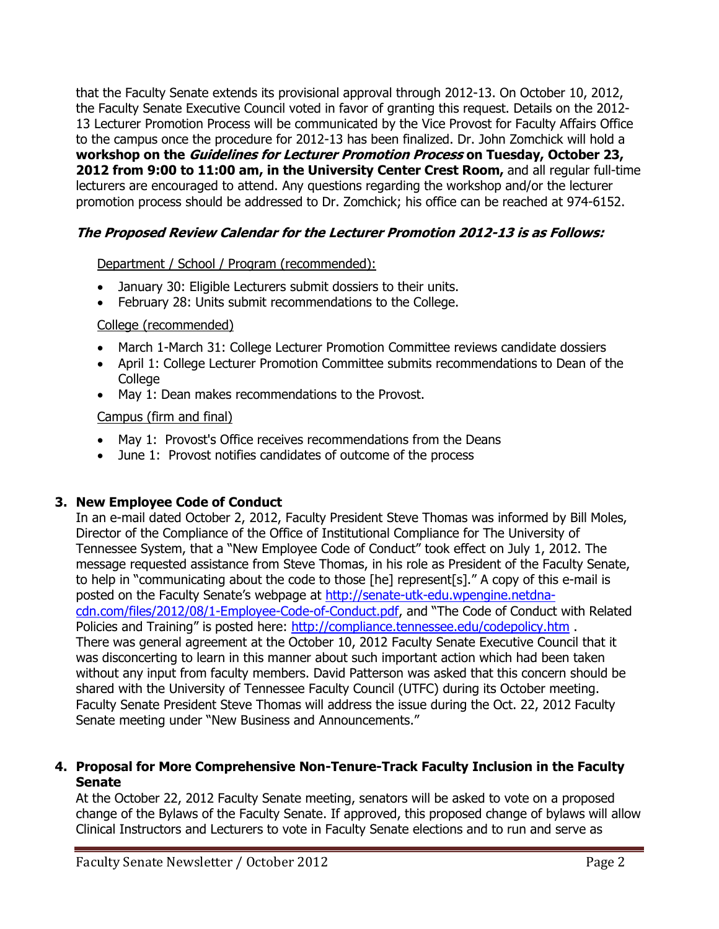that the Faculty Senate extends its provisional approval through 2012-13. On October 10, 2012, the Faculty Senate Executive Council voted in favor of granting this request. Details on the 2012- 13 Lecturer Promotion Process will be communicated by the Vice Provost for Faculty Affairs Office to the campus once the procedure for 2012-13 has been finalized. Dr. John Zomchick will hold a **workshop on the Guidelines for Lecturer Promotion Process on Tuesday, October 23, 2012 from 9:00 to 11:00 am, in the University Center Crest Room,** and all regular full-time lecturers are encouraged to attend. Any questions regarding the workshop and/or the lecturer promotion process should be addressed to Dr. Zomchick; his office can be reached at 974-6152.

### **The Proposed Review Calendar for the Lecturer Promotion 2012-13 is as Follows:**

### Department / School / Program (recommended):

- January 30: Eligible Lecturers submit dossiers to their units.
- February 28: Units submit recommendations to the College.

### College (recommended)

- March 1-March 31: College Lecturer Promotion Committee reviews candidate dossiers
- April 1: College Lecturer Promotion Committee submits recommendations to Dean of the **College**
- May 1: Dean makes recommendations to the Provost.

### Campus (firm and final)

- May 1: Provost's Office receives recommendations from the Deans
- June 1: Provost notifies candidates of outcome of the process

### **3. New Employee Code of Conduct**

In an e-mail dated October 2, 2012, Faculty President Steve Thomas was informed by Bill Moles, Director of the Compliance of the Office of Institutional Compliance for The University of Tennessee System, that a "New Employee Code of Conduct" took effect on July 1, 2012. The message requested assistance from Steve Thomas, in his role as President of the Faculty Senate, to help in "communicating about the code to those [he] represent[s]." A copy of this e-mail is posted on the Faculty Senate's webpage at [http://senate-utk-edu.wpengine.netdna](http://senate-utk-edu.wpengine.netdna-cdn.com/files/2012/08/1-Employee-Code-of-Conduct.pdf)[cdn.com/files/2012/08/1-Employee-Code-of-Conduct.pdf](http://senate-utk-edu.wpengine.netdna-cdn.com/files/2012/08/1-Employee-Code-of-Conduct.pdf), and "The Code of Conduct with Related Policies and Training" is posted here: <http://compliance.tennessee.edu/codepolicy.htm>. There was general agreement at the October 10, 2012 Faculty Senate Executive Council that it was disconcerting to learn in this manner about such important action which had been taken without any input from faculty members. David Patterson was asked that this concern should be shared with the University of Tennessee Faculty Council (UTFC) during its October meeting. Faculty Senate President Steve Thomas will address the issue during the Oct. 22, 2012 Faculty Senate meeting under "New Business and Announcements."

#### **4. Proposal for More Comprehensive Non-Tenure-Track Faculty Inclusion in the Faculty Senate**

At the October 22, 2012 Faculty Senate meeting, senators will be asked to vote on a proposed change of the Bylaws of the Faculty Senate. If approved, this proposed change of bylaws will allow Clinical Instructors and Lecturers to vote in Faculty Senate elections and to run and serve as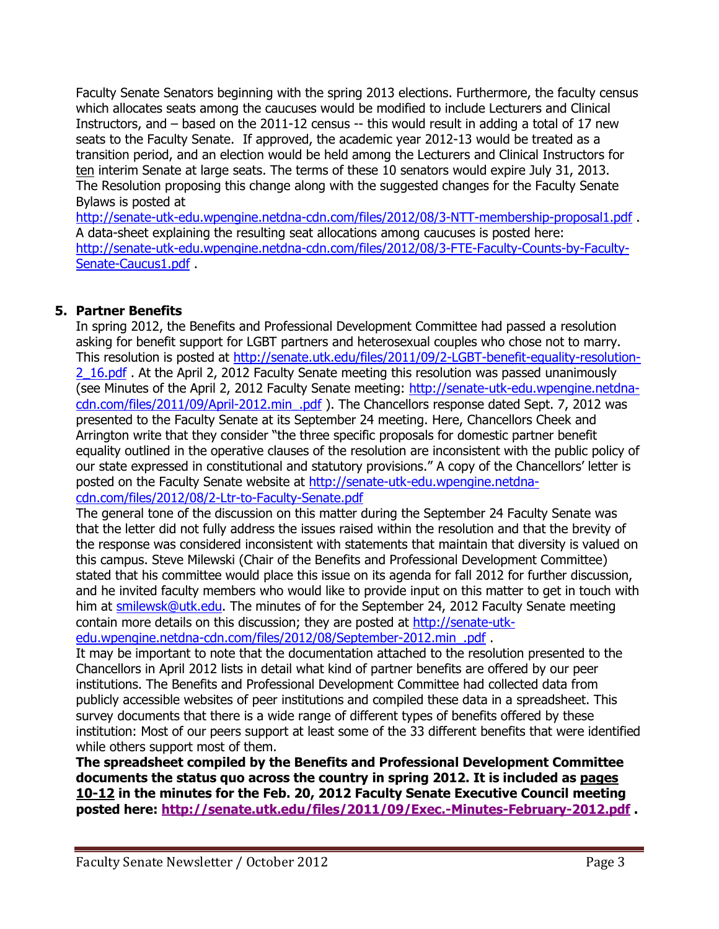Faculty Senate Senators beginning with the spring 2013 elections. Furthermore, the faculty census which allocates seats among the caucuses would be modified to include Lecturers and Clinical Instructors, and – based on the 2011-12 census -- this would result in adding a total of 17 new seats to the Faculty Senate. If approved, the academic year 2012-13 would be treated as a transition period, and an election would be held among the Lecturers and Clinical Instructors for ten interim Senate at large seats. The terms of these 10 senators would expire July 31, 2013. The Resolution proposing this change along with the suggested changes for the Faculty Senate Bylaws is posted at

<http://senate-utk-edu.wpengine.netdna-cdn.com/files/2012/08/3-NTT-membership-proposal1.pdf> . A data-sheet explaining the resulting seat allocations among caucuses is posted here: [http://senate-utk-edu.wpengine.netdna-cdn.com/files/2012/08/3-FTE-Faculty-Counts-by-Faculty-](http://senate-utk-edu.wpengine.netdna-cdn.com/files/2012/08/3-FTE-Faculty-Counts-by-Faculty-Senate-Caucus1.pdf)[Senate-Caucus1.pdf](http://senate-utk-edu.wpengine.netdna-cdn.com/files/2012/08/3-FTE-Faculty-Counts-by-Faculty-Senate-Caucus1.pdf)

### **5. Partner Benefits**

In spring 2012, the Benefits and Professional Development Committee had passed a resolution asking for benefit support for LGBT partners and heterosexual couples who chose not to marry. This resolution is posted at [http://senate.utk.edu/files/2011/09/2-LGBT-benefit-equality-resolution-](http://senate.utk.edu/files/2011/09/2-LGBT-benefit-equality-resolution-2_16.pdf)[2\\_16.pdf](http://senate.utk.edu/files/2011/09/2-LGBT-benefit-equality-resolution-2_16.pdf) . At the April 2, 2012 Faculty Senate meeting this resolution was passed unanimously (see Minutes of the April 2, 2012 Faculty Senate meeting: [http://senate-utk-edu.wpengine.netdna](http://senate-utk-edu.wpengine.netdna-cdn.com/files/2011/09/April-2012.min_.pdf)[cdn.com/files/2011/09/April-2012.min\\_.pdf](http://senate-utk-edu.wpengine.netdna-cdn.com/files/2011/09/April-2012.min_.pdf) ). The Chancellors response dated Sept. 7, 2012 was presented to the Faculty Senate at its September 24 meeting. Here, Chancellors Cheek and Arrington write that they consider "the three specific proposals for domestic partner benefit equality outlined in the operative clauses of the resolution are inconsistent with the public policy of our state expressed in constitutional and statutory provisions." A copy of the Chancellors' letter is posted on the Faculty Senate website at [http://senate-utk-edu.wpengine.netdna](http://senate-utk-edu.wpengine.netdna-cdn.com/files/2012/08/2-Ltr-to-Faculty-Senate.pdf)[cdn.com/files/2012/08/2-Ltr-to-Faculty-Senate.pdf](http://senate-utk-edu.wpengine.netdna-cdn.com/files/2012/08/2-Ltr-to-Faculty-Senate.pdf)

The general tone of the discussion on this matter during the September 24 Faculty Senate was that the letter did not fully address the issues raised within the resolution and that the brevity of the response was considered inconsistent with statements that maintain that diversity is valued on this campus. Steve Milewski (Chair of the Benefits and Professional Development Committee) stated that his committee would place this issue on its agenda for fall 2012 for further discussion, and he invited faculty members who would like to provide input on this matter to get in touch with him at [smilewsk@utk.edu.](mailto:smilewsk@utk.edu) The minutes of for the September 24, 2012 Faculty Senate meeting contain more details on this discussion; they are posted at [http://senate-utk](http://senate-utk-edu.wpengine.netdna-cdn.com/files/2012/08/September-2012.min_.pdf)edu.wpengine.netdna-cdn.com/files/2012/08/September-2012.min.pdf

It may be important to note that the documentation attached to the resolution presented to the Chancellors in April 2012 lists in detail what kind of partner benefits are offered by our peer institutions. The Benefits and Professional Development Committee had collected data from publicly accessible websites of peer institutions and compiled these data in a spreadsheet. This survey documents that there is a wide range of different types of benefits offered by these institution: Most of our peers support at least some of the 33 different benefits that were identified while others support most of them.

**The spreadsheet compiled by the Benefits and Professional Development Committee documents the status quo across the country in spring 2012. It is included as pages 10-12 in the minutes for the Feb. 20, 2012 Faculty Senate Executive Council meeting posted here:<http://senate.utk.edu/files/2011/09/Exec.-Minutes-February-2012.pdf> .**